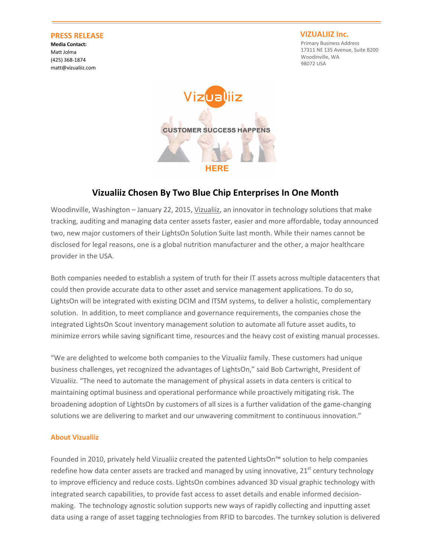## PRESS RELEASE

Media Contact: Matt Jolma (425) 368-1874 matt@vizualiiz.com

## VIZUALIIZ Inc.

Primary Business Address 17311 NE 135 Avenue, Suite B200 Woodinville, WA 98072 USA



## Vizualiiz Chosen By Two Blue Chip Enterprises In One Month

Woodinville, Washington – January 22, 2015, Vizualiiz, an innovator in technology solutions that make tracking, auditing and managing data center assets faster, easier and more affordable, today announced two, new major customers of their LightsOn Solution Suite last month. While their names cannot be disclosed for legal reasons, one is a global nutrition manufacturer and the other, a major healthcare provider in the USA.

Both companies needed to establish a system of truth for their IT assets across multiple datacenters that could then provide accurate data to other asset and service management applications. To do so, LightsOn will be integrated with existing DCIM and ITSM systems, to deliver a holistic, complementary solution. In addition, to meet compliance and governance requirements, the companies chose the integrated LightsOn Scout inventory management solution to automate all future asset audits, to minimize errors while saving significant time, resources and the heavy cost of existing manual processes.

"We are delighted to welcome both companies to the Vizualiiz family. These customers had unique business challenges, yet recognized the advantages of LightsOn," said Bob Cartwright, President of Vizualiiz. "The need to automate the management of physical assets in data centers is critical to maintaining optimal business and operational performance while proactively mitigating risk. The broadening adoption of LightsOn by customers of all sizes is a further validation of the game-changing solutions we are delivering to market and our unwavering commitment to continuous innovation."

## About Vizualiiz

Founded in 2010, privately held Vizualiiz created the patented LightsOn™ solution to help companies redefine how data center assets are tracked and managed by using innovative,  $21<sup>st</sup>$  century technology to improve efficiency and reduce costs. LightsOn combines advanced 3D visual graphic technology with integrated search capabilities, to provide fast access to asset details and enable informed decisionmaking. The technology agnostic solution supports new ways of rapidly collecting and inputting asset data using a range of asset tagging technologies from RFID to barcodes. The turnkey solution is delivered